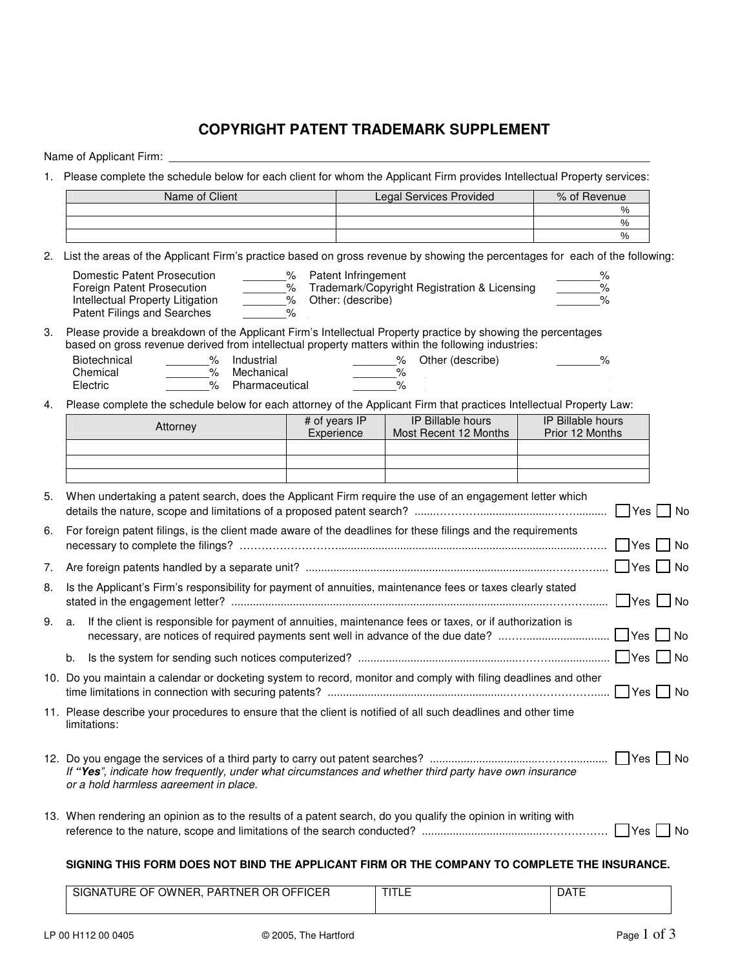## **COPYRIGHT PATENT TRADEMARK SUPPLEMENT**

Name of Applicant Firm:

1. Please complete the schedule below for each client for whom the Applicant Firm provides Intellectual Property services:

| Name of Client | <b>Legal Services Provided</b> | % of Revenue |
|----------------|--------------------------------|--------------|
|                |                                | %            |
|                |                                | %            |
|                |                                | %            |

2. List the areas of the Applicant Firm's practice based on gross revenue by showing the percentages for each of the following:

| Domestic Patent Prosecution      |   | Patent Infringement                          | ℅ |
|----------------------------------|---|----------------------------------------------|---|
| Foreign Patent Prosecution       |   | Trademark/Copyright Registration & Licensing | ℅ |
| Intellectual Property Litigation |   | Other: (describe)                            |   |
| Patent Filings and Searches      | % |                                              |   |

3. Please provide a breakdown of the Applicant Firm's Intellectual Property practice by showing the percentages based on gross revenue derived from intellectual property matters within the following industries:

| Biotechnical | Industrial     | Other (describe) | % |
|--------------|----------------|------------------|---|
| Chemical     | Mechanical     |                  |   |
| Electric     | Pharmaceutical |                  |   |

4. Please complete the schedule below for each attorney of the Applicant Firm that practices Intellectual Property Law:

|    | Attorney                                                                                                                                         | # of years IP<br>Experience | <b>IP Billable hours</b><br>Most Recent 12 Months | <b>IP Billable hours</b><br>Prior 12 Months |                      |
|----|--------------------------------------------------------------------------------------------------------------------------------------------------|-----------------------------|---------------------------------------------------|---------------------------------------------|----------------------|
|    |                                                                                                                                                  |                             |                                                   |                                             |                      |
| 5. | When undertaking a patent search, does the Applicant Firm require the use of an engagement letter which                                          |                             |                                                   |                                             | $\Box$ Yes $\Box$ No |
| 6. | For foreign patent filings, is the client made aware of the deadlines for these filings and the requirements                                     |                             |                                                   |                                             | $\Box$ Yes $\Box$ No |
| 7. |                                                                                                                                                  |                             |                                                   |                                             | $\Box$ Yes $\Box$ No |
| 8. | Is the Applicant's Firm's responsibility for payment of annuities, maintenance fees or taxes clearly stated                                      |                             |                                                   |                                             | $\Box$ Yes $\Box$ No |
| 9. | a. If the client is responsible for payment of annuities, maintenance fees or taxes, or if authorization is                                      |                             |                                                   |                                             |                      |
|    | b.                                                                                                                                               |                             |                                                   |                                             |                      |
|    | 10. Do you maintain a calendar or docketing system to record, monitor and comply with filing deadlines and other                                 |                             |                                                   |                                             | $\Box$ Yes $\Box$ No |
|    | 11. Please describe your procedures to ensure that the client is notified of all such deadlines and other time<br>limitations:                   |                             |                                                   |                                             |                      |
|    | If "Yes", indicate how frequently, under what circumstances and whether third party have own insurance<br>or a hold harmless agreement in place. |                             |                                                   |                                             |                      |
|    | 13. When rendering an opinion as to the results of a patent search, do you qualify the opinion in writing with                                   |                             |                                                   |                                             | <b>No</b>            |
|    | SIGNING THIS FORM DOES NOT BIND THE APPLICANT FIRM OR THE COMPANY TO COMPLETE THE INSURANCE.                                                     |                             |                                                   |                                             |                      |

| OR OFFICER<br>TNER <b>R</b><br>SIGNATL<br>. URE OF 1<br>OWNER.<br><b>PAR</b> | T(T)<br>--- | <b>DATE</b> |
|------------------------------------------------------------------------------|-------------|-------------|
|                                                                              |             |             |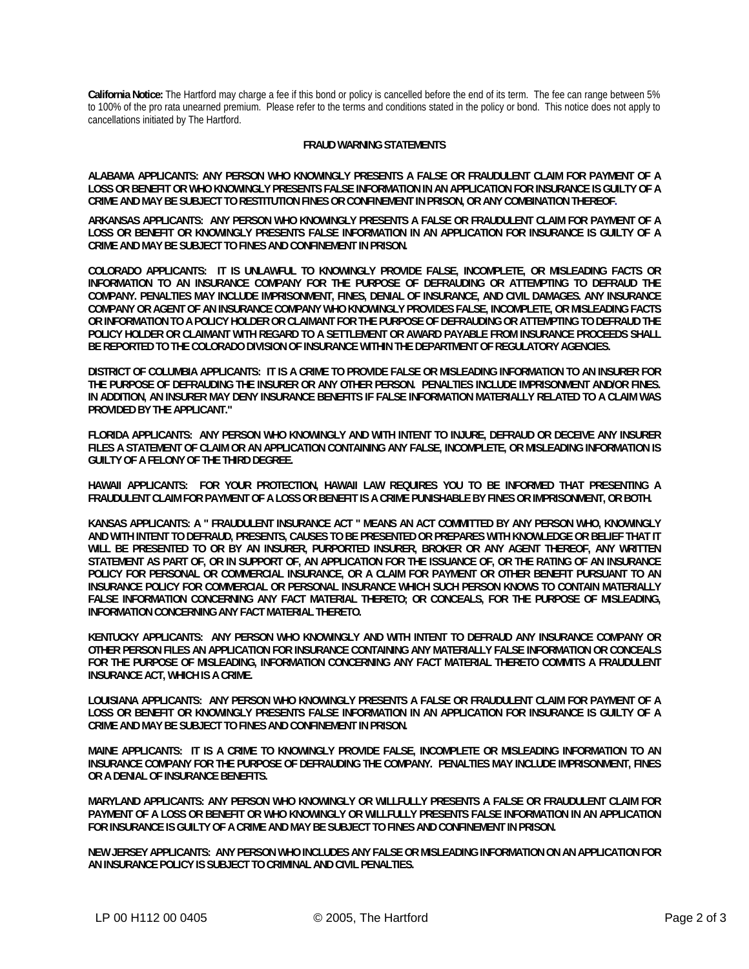**California Notice:** The Hartford may charge a fee if this bond or policy is cancelled before the end of its term. The fee can range between 5% to 100% of the pro rata unearned premium. Please refer to the terms and conditions stated in the policy or bond. This notice does not apply to cancellations initiated by The Hartford.

## **FRAUD WARNING STATEMENTS**

**ALABAMA APPLICANTS: ANY PERSON WHO KNOWINGLY PRESENTS A FALSE OR FRAUDULENT CLAIM FOR PAYMENT OF A LOSS OR BENEFIT OR WHO KNOWINGLY PRESENTS FALSE INFORMATION IN AN APPLICATION FOR INSURANCE IS GUILTY OF A CRIME AND MAY BE SUBJECT TO RESTITUTION FINES OR CONFINEMENT IN PRISON, OR ANY COMBINATION THEREOF.**

**ARKANSAS APPLICANTS: ANY PERSON WHO KNOWINGLY PRESENTS A FALSE OR FRAUDULENT CLAIM FOR PAYMENT OF A LOSS OR BENEFIT OR KNOWINGLY PRESENTS FALSE INFORMATION IN AN APPLICATION FOR INSURANCE IS GUILTY OF A CRIME AND MAY BE SUBJECT TO FINES AND CONFINEMENT IN PRISON.** 

**COLORADO APPLICANTS: IT IS UNLAWFUL TO KNOWINGLY PROVIDE FALSE, INCOMPLETE, OR MISLEADING FACTS OR INFORMATION TO AN INSURANCE COMPANY FOR THE PURPOSE OF DEFRAUDING OR ATTEMPTING TO DEFRAUD THE COMPANY. PENALTIES MAY INCLUDE IMPRISONMENT, FINES, DENIAL OF INSURANCE, AND CIVIL DAMAGES. ANY INSURANCE COMPANY OR AGENT OF AN INSURANCE COMPANY WHO KNOWINGLY PROVIDES FALSE, INCOMPLETE, OR MISLEADING FACTS OR INFORMATION TO A POLICY HOLDER OR CLAIMANT FOR THE PURPOSE OF DEFRAUDING OR ATTEMPTING TO DEFRAUD THE POLICY HOLDER OR CLAIMANT WITH REGARD TO A SETTLEMENT OR AWARD PAYABLE FROM INSURANCE PROCEEDS SHALL BE REPORTED TO THE COLORADO DIVISION OF INSURANCE WITHIN THE DEPARTMENT OF REGULATORY AGENCIES.** 

**DISTRICT OF COLUMBIA APPLICANTS: IT IS A CRIME TO PROVIDE FALSE OR MISLEADING INFORMATION TO AN INSURER FOR THE PURPOSE OF DEFRAUDING THE INSURER OR ANY OTHER PERSON. PENALTIES INCLUDE IMPRISONMENT AND/OR FINES. IN ADDITION, AN INSURER MAY DENY INSURANCE BENEFITS IF FALSE INFORMATION MATERIALLY RELATED TO A CLAIM WAS PROVIDED BY THE APPLICANT."** 

**FLORIDA APPLICANTS: ANY PERSON WHO KNOWINGLY AND WITH INTENT TO INJURE, DEFRAUD OR DECEIVE ANY INSURER FILES A STATEMENT OF CLAIM OR AN APPLICATION CONTAINING ANY FALSE, INCOMPLETE, OR MISLEADING INFORMATION IS GUILTY OF A FELONY OF THE THIRD DEGREE.** 

**HAWAII APPLICANTS: FOR YOUR PROTECTION, HAWAII LAW REQUIRES YOU TO BE INFORMED THAT PRESENTING A FRAUDULENT CLAIM FOR PAYMENT OF A LOSS OR BENEFIT IS A CRIME PUNISHABLE BY FINES OR IMPRISONMENT, OR BOTH.** 

**KANSAS APPLICANTS: A " FRAUDULENT INSURANCE ACT " MEANS AN ACT COMMITTED BY ANY PERSON WHO, KNOWINGLY AND WITH INTENT TO DEFRAUD, PRESENTS, CAUSES TO BE PRESENTED OR PREPARES WITH KNOWLEDGE OR BELIEF THAT IT WILL BE PRESENTED TO OR BY AN INSURER, PURPORTED INSURER, BROKER OR ANY AGENT THEREOF, ANY WRITTEN STATEMENT AS PART OF, OR IN SUPPORT OF, AN APPLICATION FOR THE ISSUANCE OF, OR THE RATING OF AN INSURANCE POLICY FOR PERSONAL OR COMMERCIAL INSURANCE, OR A CLAIM FOR PAYMENT OR OTHER BENEFIT PURSUANT TO AN INSURANCE POLICY FOR COMMERCIAL OR PERSONAL INSURANCE WHICH SUCH PERSON KNOWS TO CONTAIN MATERIALLY FALSE INFORMATION CONCERNING ANY FACT MATERIAL THERETO; OR CONCEALS, FOR THE PURPOSE OF MISLEADING, INFORMATION CONCERNING ANY FACT MATERIAL THERETO.** 

**KENTUCKY APPLICANTS: ANY PERSON WHO KNOWINGLY AND WITH INTENT TO DEFRAUD ANY INSURANCE COMPANY OR OTHER PERSON FILES AN APPLICATION FOR INSURANCE CONTAINING ANY MATERIALLY FALSE INFORMATION OR CONCEALS FOR THE PURPOSE OF MISLEADING, INFORMATION CONCERNING ANY FACT MATERIAL THERETO COMMITS A FRAUDULENT INSURANCE ACT, WHICH IS A CRIME.** 

**LOUISIANA APPLICANTS: ANY PERSON WHO KNOWINGLY PRESENTS A FALSE OR FRAUDULENT CLAIM FOR PAYMENT OF A LOSS OR BENEFIT OR KNOWINGLY PRESENTS FALSE INFORMATION IN AN APPLICATION FOR INSURANCE IS GUILTY OF A CRIME AND MAY BE SUBJECT TO FINES AND CONFINEMENT IN PRISON.** 

**MAINE APPLICANTS: IT IS A CRIME TO KNOWINGLY PROVIDE FALSE, INCOMPLETE OR MISLEADING INFORMATION TO AN INSURANCE COMPANY FOR THE PURPOSE OF DEFRAUDING THE COMPANY. PENALTIES MAY INCLUDE IMPRISONMENT, FINES OR A DENIAL OF INSURANCE BENEFITS.** 

**MARYLAND APPLICANTS: ANY PERSON WHO KNOWINGLY OR WILLFULLY PRESENTS A FALSE OR FRAUDULENT CLAIM FOR PAYMENT OF A LOSS OR BENEFIT OR WHO KNOWINGLY OR WILLFULLY PRESENTS FALSE INFORMATION IN AN APPLICATION FOR INSURANCE IS GUILTY OF A CRIME AND MAY BE SUBJECT TO FINES AND CONFINEMENT IN PRISON.** 

**NEW JERSEY APPLICANTS: ANY PERSON WHO INCLUDES ANY FALSE OR MISLEADING INFORMATION ON AN APPLICATION FOR AN INSURANCE POLICY IS SUBJECT TO CRIMINAL AND CIVIL PENALTIES.**